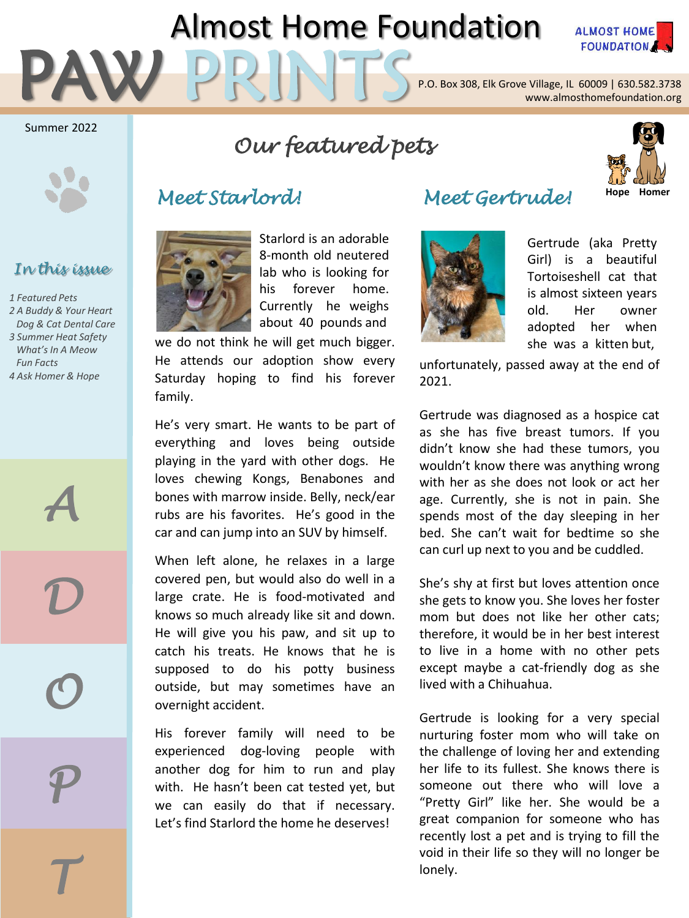# Almost Home Foundation



PAW PRINTS P.O. Box 308, Elk Grove Village, IL 60009 | 630.582.3738<br>Www.almosthomefoundation.org

#### Summer 2022



#### *In this issue*

*1 Featured Pets 2 A Buddy & Your Heart Dog & Cat Dental Care 3 Summer Heat Safety What's In A Meow Fun Facts 4 Ask Homer & Hope*

*A*

*D*

*O*

*P*

*T*

# *Our featured pets*

## *Meet Starlord! Meet Gertrude!* **Hope Homer**



Starlord is an adorable 8-month old neutered lab who is looking for his forever home. Currently he weighs about 40 pounds and

we do not think he will get much bigger. He attends our adoption show every Saturday hoping to find his forever family.

He's very smart. He wants to be part of everything and loves being outside playing in the yard with other dogs. He loves chewing Kongs, Benabones and bones with marrow inside. Belly, neck/ear rubs are his favorites. He's good in the car and can jump into an SUV by himself.

When left alone, he relaxes in a large covered pen, but would also do well in a large crate. He is food-motivated and knows so much already like sit and down. He will give you his paw, and sit up to catch his treats. He knows that he is supposed to do his potty business outside, but may sometimes have an overnight accident.

His forever family will need to be experienced dog-loving people with another dog for him to run and play with. He hasn't been cat tested yet, but we can easily do that if necessary. Let's find Starlord the home he deserves!



#### Gertrude (aka Pretty Girl) is a beautiful Tortoiseshell cat that is almost sixteen years old. Her owner adopted her when she was a kitten but,

unfortunately, passed away at the end of 2021.

Gertrude was diagnosed as a hospice cat as she has five breast tumors. If you didn't know she had these tumors, you wouldn't know there was anything wrong with her as she does not look or act her age. Currently, she is not in pain. She spends most of the day sleeping in her bed. She can't wait for bedtime so she can curl up next to you and be cuddled.

She's shy at first but loves attention once she gets to know you. She loves her foster mom but does not like her other cats; therefore, it would be in her best interest to live in a home with no other pets except maybe a cat-friendly dog as she lived with a Chihuahua.

Gertrude is looking for a very special nurturing foster mom who will take on the challenge of loving her and extending her life to its fullest. She knows there is someone out there who will love a "Pretty Girl" like her. She would be a great companion for someone who has recently lost a pet and is trying to fill the void in their life so they will no longer be lonely.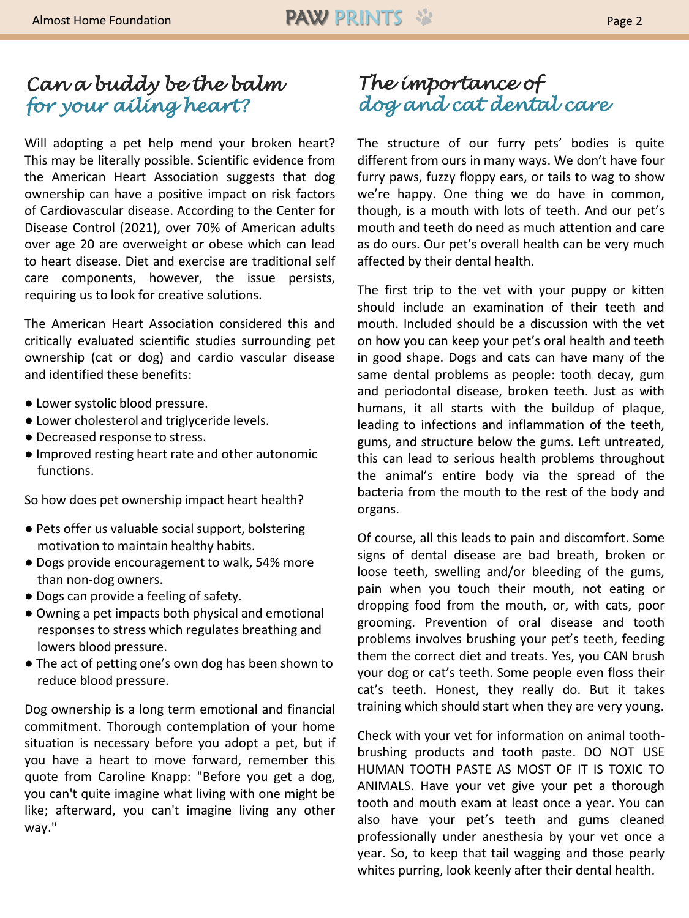### *Can a buddy be the balm for your ailing heart?*

Will adopting a pet help mend your broken heart? This may be literally possible. Scientific evidence from the American Heart Association suggests that dog ownership can have a positive impact on risk factors of Cardiovascular disease. According to the Center for Disease Control (2021), over 70% of American adults over age 20 are overweight or obese which can lead to heart disease. Diet and exercise are traditional self care components, however, the issue persists, requiring us to look for creative solutions.

The American Heart Association considered this and critically evaluated scientific studies surrounding pet ownership (cat or dog) and cardio vascular disease and identified these benefits:

- Lower systolic blood pressure.
- Lower cholesterol and triglyceride levels.
- Decreased response to stress.
- Improved resting heart rate and other autonomic functions.

So how does pet ownership impact heart health?

- Pets offer us valuable social support, bolstering motivation to maintain healthy habits.
- Dogs provide encouragement to walk, 54% more than non-dog owners.
- Dogs can provide a feeling of safety.
- Owning a pet impacts both physical and emotional responses to stress which regulates breathing and lowers blood pressure.
- The act of petting one's own dog has been shown to reduce blood pressure.

Dog ownership is a long term emotional and financial commitment. Thorough contemplation of your home situation is necessary before you adopt a pet, but if you have a heart to move forward, remember this quote from Caroline Knapp: "Before you get a dog, you can't quite imagine what living with one might be like; afterward, you can't imagine living any other way."

#### *The importance of dog and cat dental care*

The structure of our furry pets' bodies is quite different from ours in many ways. We don't have four furry paws, fuzzy floppy ears, or tails to wag to show we're happy. One thing we do have in common, though, is a mouth with lots of teeth. And our pet's mouth and teeth do need as much attention and care as do ours. Our pet's overall health can be very much affected by their dental health.

The first trip to the vet with your puppy or kitten should include an examination of their teeth and mouth. Included should be a discussion with the vet on how you can keep your pet's oral health and teeth in good shape. Dogs and cats can have many of the same dental problems as people: tooth decay, gum and periodontal disease, broken teeth. Just as with humans, it all starts with the buildup of plaque, leading to infections and inflammation of the teeth, gums, and structure below the gums. Left untreated, this can lead to serious health problems throughout the animal's entire body via the spread of the bacteria from the mouth to the rest of the body and organs.

Of course, all this leads to pain and discomfort. Some signs of dental disease are bad breath, broken or loose teeth, swelling and/or bleeding of the gums, pain when you touch their mouth, not eating or dropping food from the mouth, or, with cats, poor grooming. Prevention of oral disease and tooth problems involves brushing your pet's teeth, feeding them the correct diet and treats. Yes, you CAN brush your dog or cat's teeth. Some people even floss their cat's teeth. Honest, they really do. But it takes training which should start when they are very young.

Check with your vet for information on animal toothbrushing products and tooth paste. DO NOT USE HUMAN TOOTH PASTE AS MOST OF IT IS TOXIC TO ANIMALS. Have your vet give your pet a thorough tooth and mouth exam at least once a year. You can also have your pet's teeth and gums cleaned professionally under anesthesia by your vet once a year. So, to keep that tail wagging and those pearly whites purring, look keenly after their dental health.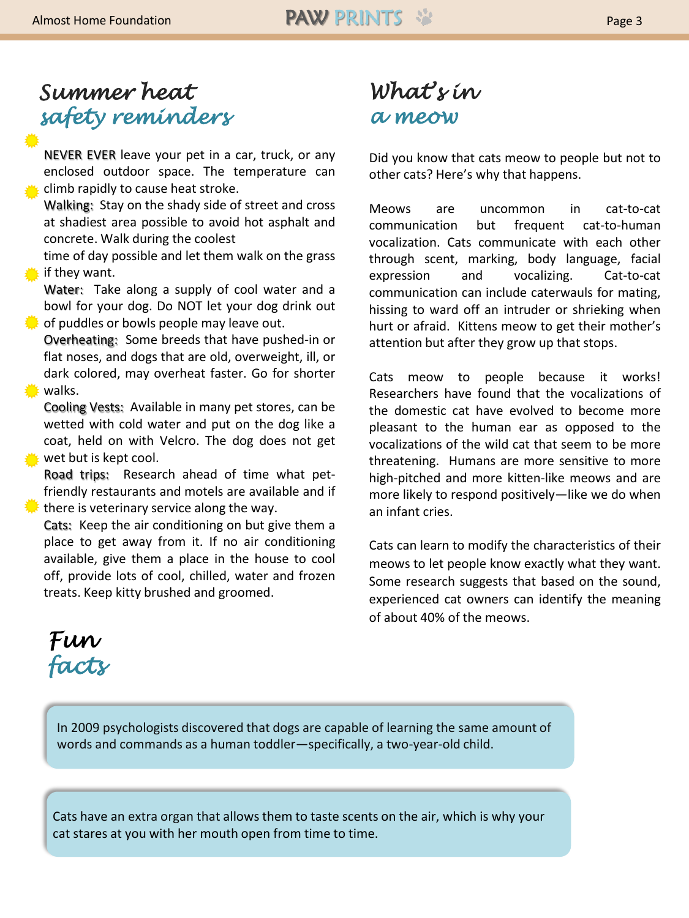# *Summer heat safety reminders*

NEVER EVER leave your pet in a car, truck, or any enclosed outdoor space. The temperature can climb rapidly to cause heat stroke.

Walking: Stay on the shady side of street and cross at shadiest area possible to avoid hot asphalt and concrete. Walk during the coolest

time of day possible and let them walk on the grass if they want.

Water: Take along a supply of cool water and a bowl for your dog. Do NOT let your dog drink out of puddles or bowls people may leave out.

Overheating: Some breeds that have pushed-in or flat noses, and dogs that are old, overweight, ill, or dark colored, may overheat faster. Go for shorter **₩** walks.

Cooling Vests: Available in many pet stores, can be wetted with cold water and put on the dog like a coat, held on with Velcro. The dog does not get wet but is kept cool.

Road trips: Research ahead of time what petfriendly restaurants and motels are available and if there is veterinary service along the way.

Cats: Keep the air conditioning on but give them a place to get away from it. If no air conditioning available, give them a place in the house to cool off, provide lots of cool, chilled, water and frozen treats. Keep kitty brushed and groomed.

# *What's in a meow*

Did you know that cats meow to people but not to other cats? Here's why that happens.

Meows are uncommon in cat-to-cat communication but frequent cat-to-human vocalization. Cats communicate with each other through scent, marking, body language, facial expression and vocalizing. Cat-to-cat communication can include caterwauls for mating, hissing to ward off an intruder or shrieking when hurt or afraid. Kittens meow to get their mother's attention but after they grow up that stops.

Cats meow to people because it works! Researchers have found that the vocalizations of the domestic cat have evolved to become more pleasant to the human ear as opposed to the vocalizations of the wild cat that seem to be more threatening. Humans are more sensitive to more high-pitched and more kitten-like meows and are more likely to respond positively—like we do when an infant cries.

Cats can learn to modify the characteristics of their meows to let people know exactly what they want. Some research suggests that based on the sound, experienced cat owners can identify the meaning of about 40% of the meows.



In 2009 psychologists discovered that dogs are capable of learning the same amount of words and commands as a human toddler—specifically, a two-year-old child.

Cats have an extra organ that allows them to taste scents on the air, which is why your cat stares at you with her mouth open from time to time.